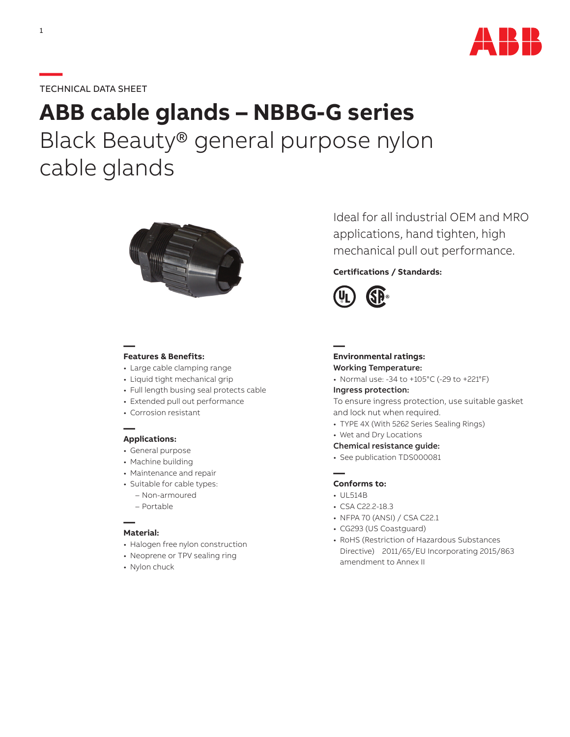

# **—**TECHNICAL DATA SHEET

# **ABB cable glands – NBBG-G series** Black Beauty® general purpose nylon cable glands



## **— Features & Benefits:**

- Large cable clamping range
- Liquid tight mechanical grip
- Full length busing seal protects cable
- Extended pull out performance
- Corrosion resistant

## **— Applications:**

- General purpose
- Machine building
- Maintenance and repair
- Suitable for cable types:
	- Non-armoured
	- Portable

### **— Material:**

- Halogen free nylon construction
- Neoprene or TPV sealing ring
- Nylon chuck

Ideal for all industrial OEM and MRO applications, hand tighten, high mechanical pull out performance.

# **Certifications / Standards:**



**— Environmental ratings:**

# Working Temperature:

• Normal use: -34 to +105°C (-29 to +221°F)

#### Ingress protection:

To ensure ingress protection, use suitable gasket and lock nut when required.

- TYPE 4X (With 5262 Series Sealing Rings)
- Wet and Dry Locations

#### Chemical resistance guide:

• See publication TDS000081

# **— Conforms to:**

- UL514B
- CSA C22.2-18.3
- NFPA 70 (ANSI) / CSA C22.1
- CG293 (US Coastguard)
- RoHS (Restriction of Hazardous Substances Directive) 2011/65/EU Incorporating 2015/863 amendment to Annex II